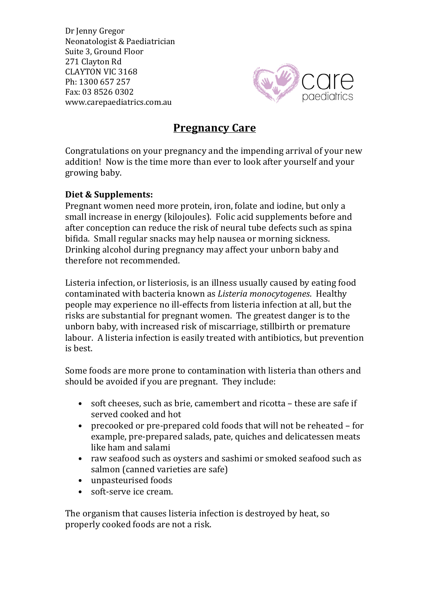Dr Jenny Gregor Neonatologist & Paediatrician Suite 3, Ground Floor 271 Clayton Rd CLAYTON VIC 3168 Ph: 1300 657 257 Fax: 03 8526 0302 www.carepaediatrics.com.au



# **Pregnancy Care**

Congratulations on your pregnancy and the impending arrival of your new addition! Now is the time more than ever to look after yourself and your growing baby.

# **Diet & Supplements:**

Pregnant women need more protein, iron, folate and iodine, but only a small increase in energy (kilojoules). Folic acid supplements before and after conception can reduce the risk of neural tube defects such as spina bifida. Small regular snacks may help nausea or morning sickness. Drinking alcohol during pregnancy may affect your unborn baby and therefore not recommended.

Listeria infection, or listeriosis, is an illness usually caused by eating food contaminated with bacteria known as *Listeria monocytogenes*. Healthy people may experience no ill-effects from listeria infection at all, but the risks are substantial for pregnant women. The greatest danger is to the unborn baby, with increased risk of miscarriage, stillbirth or premature labour. A listeria infection is easily treated with antibiotics, but prevention is best.

Some foods are more prone to contamination with listeria than others and should be avoided if you are pregnant. They include:

- soft cheeses, such as brie, camembert and ricotta  $-$  these are safe if served cooked and hot
- precooked or pre-prepared cold foods that will not be reheated for example, pre-prepared salads, pate, quiches and delicatessen meats like ham and salami
- raw seafood such as oysters and sashimi or smoked seafood such as salmon (canned varieties are safe)
- unpasteurised foods
- soft-serve ice cream.

The organism that causes listeria infection is destroyed by heat, so properly cooked foods are not a risk.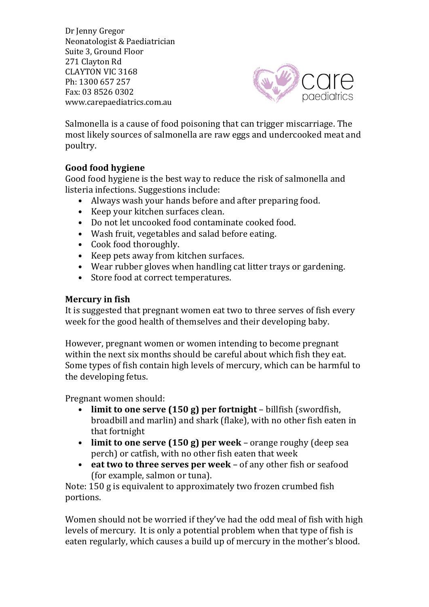Dr Jenny Gregor Neonatologist & Paediatrician Suite 3, Ground Floor 271 Clayton Rd CLAYTON VIC 3168 Ph: 1300 657 257 Fax: 03 8526 0302 www.carepaediatrics.com.au



Salmonella is a cause of food poisoning that can trigger miscarriage. The most likely sources of salmonella are raw eggs and undercooked meat and poultry. 

# Good food hygiene

Good food hygiene is the best way to reduce the risk of salmonella and listeria infections. Suggestions include:

- Always wash your hands before and after preparing food.
- Keep your kitchen surfaces clean.
- Do not let uncooked food contaminate cooked food.
- Wash fruit, vegetables and salad before eating.
- Cook food thoroughly.
- Keep pets away from kitchen surfaces.
- Wear rubber gloves when handling cat litter trays or gardening.
- Store food at correct temperatures.

# **Mercury** in fish

It is suggested that pregnant women eat two to three serves of fish every week for the good health of themselves and their developing baby.

However, pregnant women or women intending to become pregnant within the next six months should be careful about which fish they eat. Some types of fish contain high levels of mercury, which can be harmful to the developing fetus.

Pregnant women should:

- **limit to one serve (150 g) per fortnight** billfish (swordfish, broadbill and marlin) and shark (flake), with no other fish eaten in that fortnight
- **limit to one serve (150 g) per week** orange roughy (deep sea perch) or catfish, with no other fish eaten that week
- eat two to three serves per week of any other fish or seafood (for example, salmon or tuna).

Note: 150 g is equivalent to approximately two frozen crumbed fish portions.

Women should not be worried if they've had the odd meal of fish with high levels of mercury. It is only a potential problem when that type of fish is eaten regularly, which causes a build up of mercury in the mother's blood.